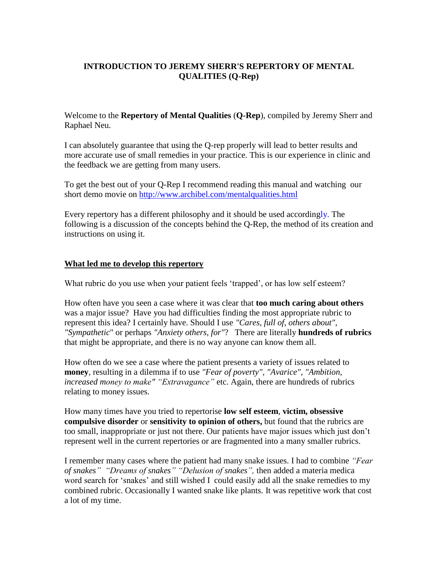# **INTRODUCTION TO JEREMY SHERR'S REPERTORY OF MENTAL QUALITIES (Q-Rep)**

Welcome to the **Repertory of Mental Qualities** (**Q-Rep**), compiled by Jeremy Sherr and Raphael Neu.

I can absolutely guarantee that using the Q-rep properly will lead to better results and more accurate use of small remedies in your practice. This is our experience in clinic and the feedback we are getting from many users.

To get the best out of your Q-Rep I recommend reading this manual and watching our short demo movie on<http://www.archibel.com/mentalqualities.html>

Every repertory has a different philosophy and it should be used accordingly. The following is a discussion of the concepts behind the Q-Rep, the method of its creation and instructions on using it.

#### **What led me to develop this repertory**

What rubric do you use when your patient feels 'trapped', or has low self esteem?

How often have you seen a case where it was clear that **too much caring about others** was a major issue? Have you had difficulties finding the most appropriate rubric to represent this idea? I certainly have. Should I use *"Cares, full of, others about", "Sympathetic*" or perhaps *"Anxiety others, for"*? There are literally **hundreds of rubrics** that might be appropriate, and there is no way anyone can know them all.

How often do we see a case where the patient presents a variety of issues related to **money**, resulting in a dilemma if to use *"Fear of poverty", "Avarice", "Ambition, increased money to make" "Extravagance"* etc. Again, there are hundreds of rubrics relating to money issues.

How many times have you tried to repertorise **low self esteem**, **victim, obsessive compulsive disorder** or **sensitivity to opinion of others,** but found that the rubrics are too small, inappropriate or just not there. Our patients have major issues which just don't represent well in the current repertories or are fragmented into a many smaller rubrics.

I remember many cases where the patient had many snake issues. I had to combine *"Fear of snakes" "Dreams of snakes" "Delusion of snakes",* then added a materia medica word search for 'snakes' and still wished I could easily add all the snake remedies to my combined rubric. Occasionally I wanted snake like plants. It was repetitive work that cost a lot of my time.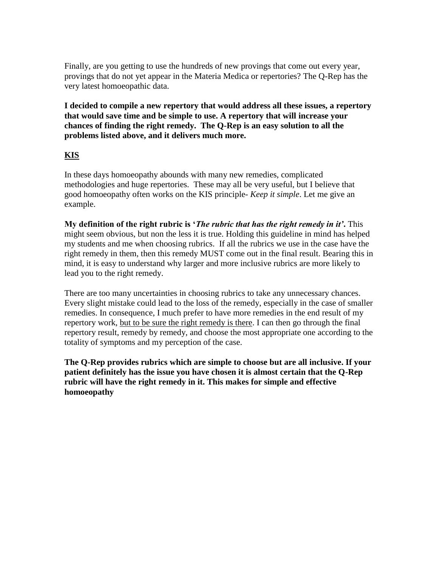Finally, are you getting to use the hundreds of new provings that come out every year, provings that do not yet appear in the Materia Medica or repertories? The Q-Rep has the very latest homoeopathic data.

**I decided to compile a new repertory that would address all these issues, a repertory that would save time and be simple to use. A repertory that will increase your chances of finding the right remedy. The Q-Rep is an easy solution to all the problems listed above, and it delivers much more.**

## **KIS**

In these days homoeopathy abounds with many new remedies, complicated methodologies and huge repertories. These may all be very useful, but I believe that good homoeopathy often works on the KIS principle- *Keep it simple*. Let me give an example.

**My definition of the right rubric is '***The rubric that has the right remedy in it'***.** This might seem obvious, but non the less it is true. Holding this guideline in mind has helped my students and me when choosing rubrics. If all the rubrics we use in the case have the right remedy in them, then this remedy MUST come out in the final result. Bearing this in mind, it is easy to understand why larger and more inclusive rubrics are more likely to lead you to the right remedy.

There are too many uncertainties in choosing rubrics to take any unnecessary chances. Every slight mistake could lead to the loss of the remedy, especially in the case of smaller remedies. In consequence, I much prefer to have more remedies in the end result of my repertory work, but to be sure the right remedy is there. I can then go through the final repertory result, remedy by remedy, and choose the most appropriate one according to the totality of symptoms and my perception of the case.

**The Q-Rep provides rubrics which are simple to choose but are all inclusive. If your patient definitely has the issue you have chosen it is almost certain that the Q-Rep rubric will have the right remedy in it. This makes for simple and effective homoeopathy**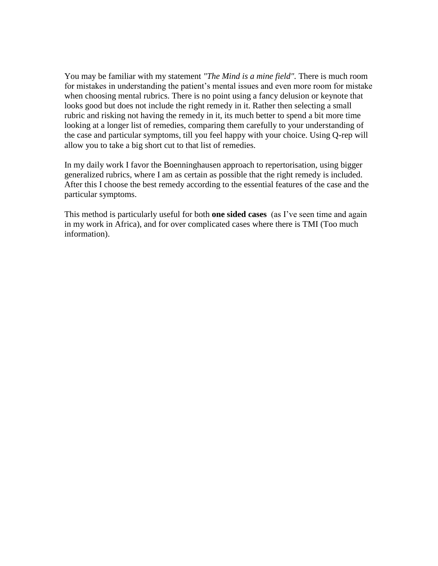You may be familiar with my statement *"The Mind is a mine field".* There is much room for mistakes in understanding the patient's mental issues and even more room for mistake when choosing mental rubrics. There is no point using a fancy delusion or keynote that looks good but does not include the right remedy in it. Rather then selecting a small rubric and risking not having the remedy in it, its much better to spend a bit more time looking at a longer list of remedies, comparing them carefully to your understanding of the case and particular symptoms, till you feel happy with your choice. Using Q-rep will allow you to take a big short cut to that list of remedies.

In my daily work I favor the Boenninghausen approach to repertorisation, using bigger generalized rubrics, where I am as certain as possible that the right remedy is included. After this I choose the best remedy according to the essential features of the case and the particular symptoms.

This method is particularly useful for both **one sided cases** (as I've seen time and again in my work in Africa), and for over complicated cases where there is TMI (Too much information).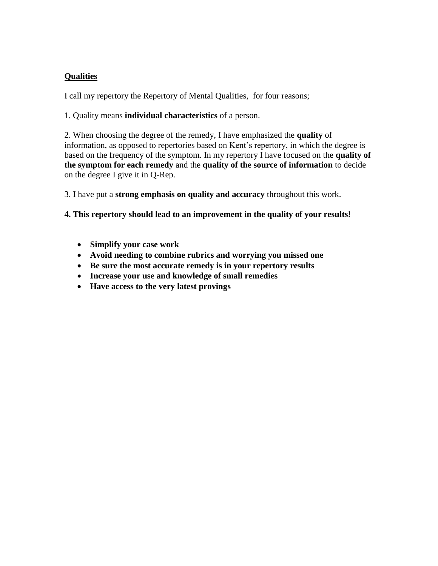# **Qualities**

I call my repertory the Repertory of Mental Qualities, for four reasons;

1. Quality means **individual characteristics** of a person.

2. When choosing the degree of the remedy, I have emphasized the **quality** of information, as opposed to repertories based on Kent's repertory, in which the degree is based on the frequency of the symptom. In my repertory I have focused on the **quality of the symptom for each remedy** and the **quality of the source of information** to decide on the degree I give it in Q-Rep.

3. I have put a **strong emphasis on quality and accuracy** throughout this work.

**4. This repertory should lead to an improvement in the quality of your results!**

- **Simplify your case work**
- **Avoid needing to combine rubrics and worrying you missed one**
- **Be sure the most accurate remedy is in your repertory results**
- **Increase your use and knowledge of small remedies**
- **Have access to the very latest provings**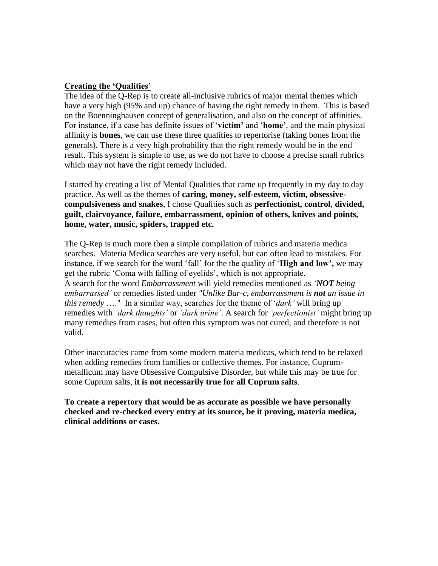#### **Creating the 'Qualities'**

The idea of the Q-Rep is to create all-inclusive rubrics of major mental themes which have a very high (95% and up) chance of having the right remedy in them. This is based on the Boenninghausen concept of generalisation, and also on the concept of affinities. For instance, if a case has definite issues of '**victim'** and '**home'**, and the main physical affinity is **bones**, we can use these three qualities to repertorise (taking bones from the generals). There is a very high probability that the right remedy would be in the end result. This system is simple to use, as we do not have to choose a precise small rubrics which may not have the right remedy included.

I started by creating a list of Mental Qualities that came up frequently in my day to day practice. As well as the themes of **caring, money, self-esteem, victim, obsessivecompulsiveness and snakes**, I chose Qualities such as **perfectionist, control**, **divided, guilt, clairvoyance, failure, embarrassment, opinion of others, knives and points, home, water, music, spiders, trapped etc.** 

The Q-Rep is much more then a simple compilation of rubrics and materia medica searches. Materia Medica searches are very useful, but can often lead to mistakes. For instance, if we search for the word 'fall' for the the quality of '**High and low',** we may get the rubric 'Coma with falling of eyelids', which is not appropriate. A search for the word *Embarrassment* will yield remedies mentioned as *'NOT being embarrassed'* or remedies listed under *"Unlike Bar-c, embarrassment is not an issue in this remedy* …." In a similar way, searches for the theme of '*dark'* will bring up remedies with *'dark thoughts'* or *'dark urine'*. A search for *'perfectionist'* might bring up many remedies from cases, but often this symptom was not cured, and therefore is not valid.

Other inaccuracies came from some modern materia medicas, which tend to be relaxed when adding remedies from families or collective themes. For instance, Cuprummetallicum may have Obsessive Compulsive Disorder, but while this may be true for some Cuprum salts, **it is not necessarily true for all Cuprum salts**.

**To create a repertory that would be as accurate as possible we have personally checked and re-checked every entry at its source, be it proving, materia medica, clinical additions or cases.**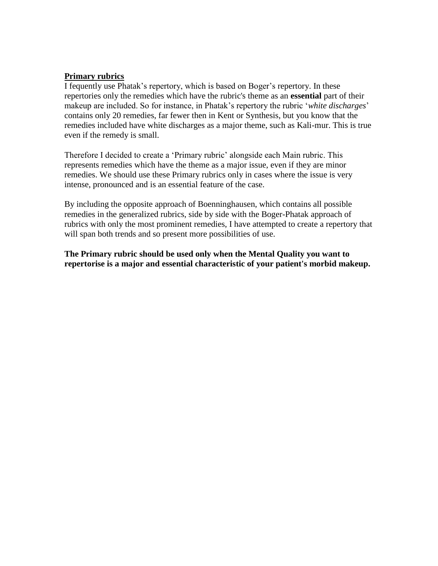### **Primary rubrics**

I fequently use Phatak's repertory, which is based on Boger's repertory. In these repertories only the remedies which have the rubric's theme as an **essential** part of their makeup are included. So for instance, in Phatak's repertory the rubric '*white discharges*' contains only 20 remedies, far fewer then in Kent or Synthesis, but you know that the remedies included have white discharges as a major theme, such as Kali-mur. This is true even if the remedy is small.

Therefore I decided to create a 'Primary rubric' alongside each Main rubric. This represents remedies which have the theme as a major issue, even if they are minor remedies. We should use these Primary rubrics only in cases where the issue is very intense, pronounced and is an essential feature of the case.

By including the opposite approach of Boenninghausen, which contains all possible remedies in the generalized rubrics, side by side with the Boger-Phatak approach of rubrics with only the most prominent remedies, I have attempted to create a repertory that will span both trends and so present more possibilities of use.

**The Primary rubric should be used only when the Mental Quality you want to repertorise is a major and essential characteristic of your patient's morbid makeup.**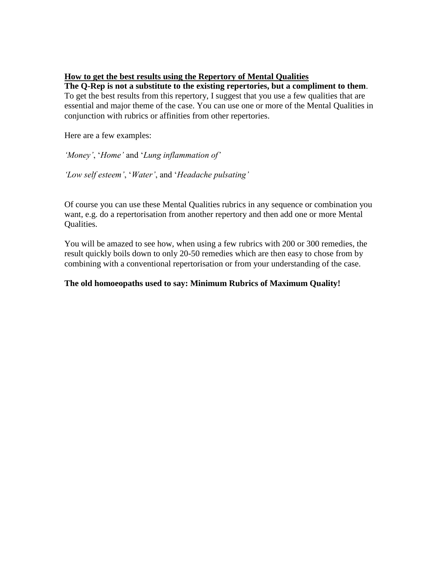### **How to get the best results using the Repertory of Mental Qualities**

**The Q-Rep is not a substitute to the existing repertories, but a compliment to them**. To get the best results from this repertory, I suggest that you use a few qualities that are essential and major theme of the case. You can use one or more of the Mental Qualities in conjunction with rubrics or affinities from other repertories.

Here are a few examples:

*'Money'*, '*Home'* and '*Lung inflammation of'*

*'Low self esteem'*, '*Water'*, and '*Headache pulsating'*

Of course you can use these Mental Qualities rubrics in any sequence or combination you want, e.g. do a repertorisation from another repertory and then add one or more Mental Qualities.

You will be amazed to see how, when using a few rubrics with 200 or 300 remedies, the result quickly boils down to only 20-50 remedies which are then easy to chose from by combining with a conventional repertorisation or from your understanding of the case.

## **The old homoeopaths used to say: Minimum Rubrics of Maximum Quality!**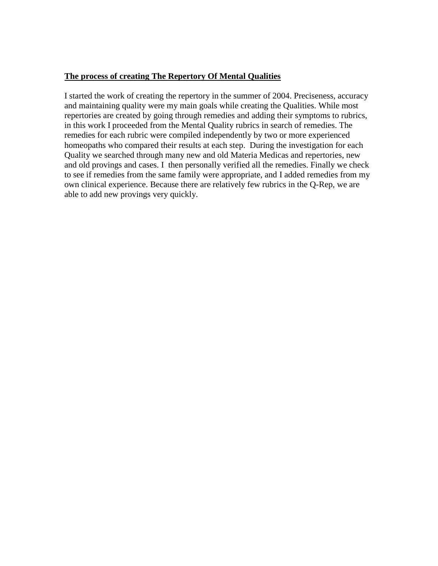## **The process of creating The Repertory Of Mental Qualities**

I started the work of creating the repertory in the summer of 2004. Preciseness, accuracy and maintaining quality were my main goals while creating the Qualities. While most repertories are created by going through remedies and adding their symptoms to rubrics, in this work I proceeded from the Mental Quality rubrics in search of remedies. The remedies for each rubric were compiled independently by two or more experienced homeopaths who compared their results at each step. During the investigation for each Quality we searched through many new and old Materia Medicas and repertories, new and old provings and cases. I then personally verified all the remedies. Finally we check to see if remedies from the same family were appropriate, and I added remedies from my own clinical experience. Because there are relatively few rubrics in the Q-Rep, we are able to add new provings very quickly.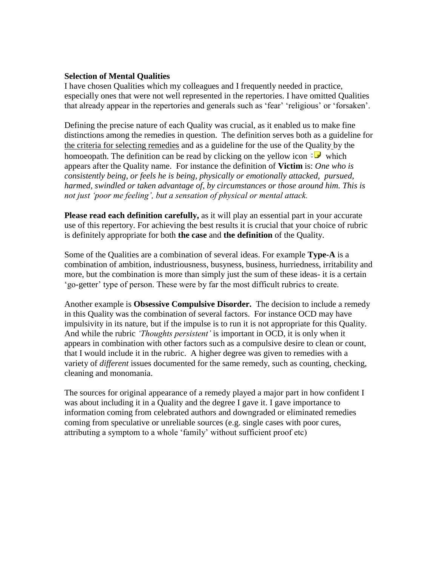#### **Selection of Mental Qualities**

I have chosen Qualities which my colleagues and I frequently needed in practice, especially ones that were not well represented in the repertories. I have omitted Qualities that already appear in the repertories and generals such as 'fear' 'religious' or 'forsaken'.

Defining the precise nature of each Quality was crucial, as it enabled us to make fine distinctions among the remedies in question. The definition serves both as a guideline for the criteria for selecting remedies and as a guideline for the use of the Quality by the homoeopath. The definition can be read by clicking on the yellow icon  $\mathbf{E}$  which appears after the Quality name. For instance the definition of **Victim** is: *One who is consistently being, or feels he is being, physically or emotionally attacked, pursued, harmed, swindled or taken advantage of, by circumstances or those around him. This is not just 'poor me feeling', but a sensation of physical or mental attack.*

**Please read each definition carefully,** as it will play an essential part in your accurate use of this repertory. For achieving the best results it is crucial that your choice of rubric is definitely appropriate for both **the case** and **the definition** of the Quality.

Some of the Qualities are a combination of several ideas. For example **Type-A** is a combination of ambition, industriousness, busyness, business, hurriedness, irritability and more, but the combination is more than simply just the sum of these ideas- it is a certain 'go-getter' type of person. These were by far the most difficult rubrics to create.

Another example is **Obsessive Compulsive Disorder.** The decision to include a remedy in this Quality was the combination of several factors. For instance OCD may have impulsivity in its nature, but if the impulse is to run it is not appropriate for this Quality. And while the rubric *'Thoughts persistent'* is important in OCD, it is only when it appears in combination with other factors such as a compulsive desire to clean or count, that I would include it in the rubric. A higher degree was given to remedies with a variety of *different* issues documented for the same remedy, such as counting, checking, cleaning and monomania.

The sources for original appearance of a remedy played a major part in how confident I was about including it in a Quality and the degree I gave it. I gave importance to information coming from celebrated authors and downgraded or eliminated remedies coming from speculative or unreliable sources (e.g. single cases with poor cures, attributing a symptom to a whole 'family' without sufficient proof etc)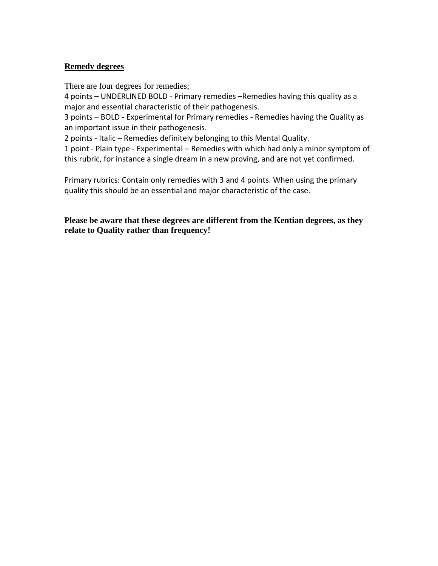## **Remedy degrees**

There are four degrees for remedies;

4 points – UNDERLINED BOLD - Primary remedies –Remedies having this quality as a major and essential characteristic of their pathogenesis.

3 points – BOLD - Experimental for Primary remedies - Remedies having the Quality as an important issue in their pathogenesis.

2 points - Italic – Remedies definitely belonging to this Mental Quality.

1 point - Plain type - Experimental – Remedies with which had only a minor symptom of this rubric, for instance a single dream in a new proving, and are not yet confirmed.

Primary rubrics: Contain only remedies with 3 and 4 points. When using the primary quality this should be an essential and major characteristic of the case.

**Please be aware that these degrees are different from the Kentian degrees, as they relate to Quality rather than frequency!**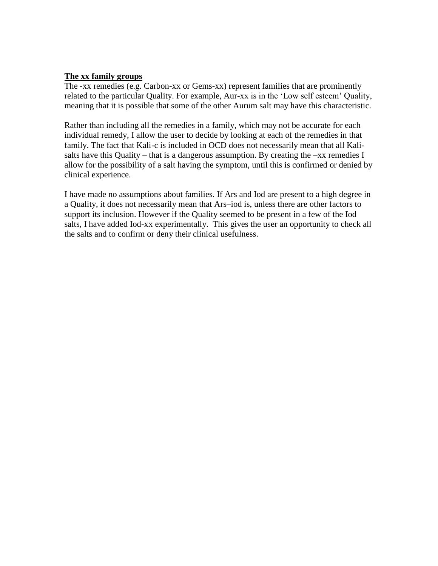#### **The xx family groups**

The -xx remedies (e.g. Carbon-xx or Gems-xx) represent families that are prominently related to the particular Quality. For example, Aur-xx is in the 'Low self esteem' Quality, meaning that it is possible that some of the other Aurum salt may have this characteristic.

Rather than including all the remedies in a family, which may not be accurate for each individual remedy, I allow the user to decide by looking at each of the remedies in that family. The fact that Kali-c is included in OCD does not necessarily mean that all Kalisalts have this Quality – that is a dangerous assumption. By creating the  $-xx$  remedies I allow for the possibility of a salt having the symptom, until this is confirmed or denied by clinical experience.

I have made no assumptions about families. If Ars and Iod are present to a high degree in a Quality, it does not necessarily mean that Ars–iod is, unless there are other factors to support its inclusion. However if the Quality seemed to be present in a few of the Iod salts, I have added Iod-xx experimentally. This gives the user an opportunity to check all the salts and to confirm or deny their clinical usefulness.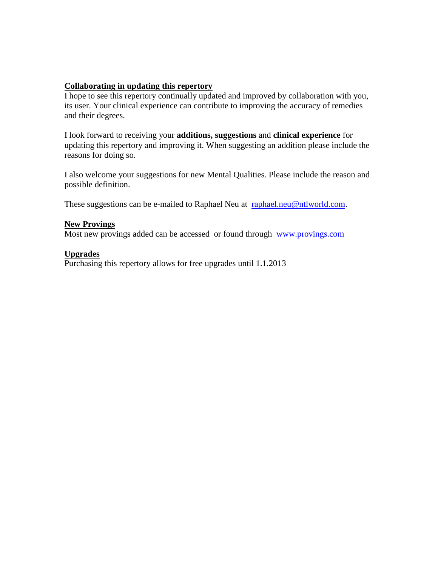# **Collaborating in updating this repertory**

I hope to see this repertory continually updated and improved by collaboration with you, its user. Your clinical experience can contribute to improving the accuracy of remedies and their degrees.

I look forward to receiving your **additions, suggestions** and **clinical experience** for updating this repertory and improving it. When suggesting an addition please include the reasons for doing so.

I also welcome your suggestions for new Mental Qualities. Please include the reason and possible definition.

These suggestions can be e-mailed to Raphael Neu at [raphael.neu@ntlworld.com.](mailto:raphael.neu@ntlworld.com)

## **New Provings**

Most new provings added can be accessed or found through [www.provings.com](http://www.provings.com/)

## **Upgrades**

Purchasing this repertory allows for free upgrades until 1.1.2013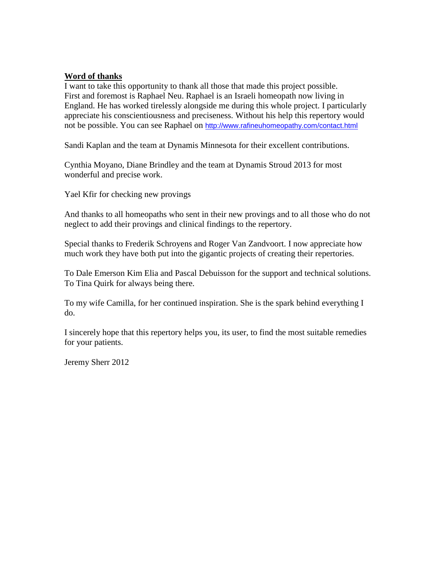## **Word of thanks**

I want to take this opportunity to thank all those that made this project possible. First and foremost is Raphael Neu. Raphael is an Israeli homeopath now living in England. He has worked tirelessly alongside me during this whole project. I particularly appreciate his conscientiousness and preciseness. Without his help this repertory would not be possible. You can see Raphael on <http://www.rafineuhomeopathy.com/contact.html>

Sandi Kaplan and the team at Dynamis Minnesota for their excellent contributions.

Cynthia Moyano, Diane Brindley and the team at Dynamis Stroud 2013 for most wonderful and precise work.

Yael Kfir for checking new provings

And thanks to all homeopaths who sent in their new provings and to all those who do not neglect to add their provings and clinical findings to the repertory.

Special thanks to Frederik Schroyens and Roger Van Zandvoort. I now appreciate how much work they have both put into the gigantic projects of creating their repertories.

To Dale Emerson Kim Elia and Pascal Debuisson for the support and technical solutions. To Tina Quirk for always being there.

To my wife Camilla, for her continued inspiration. She is the spark behind everything I do.

I sincerely hope that this repertory helps you, its user, to find the most suitable remedies for your patients.

Jeremy Sherr 2012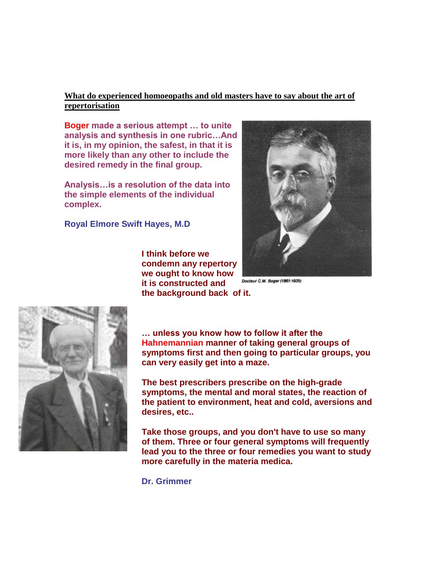## **What do experienced homoeopaths and old masters have to say about the art of repertorisation**

**Boger made a serious attempt … to unite analysis and synthesis in one rubric…And it is, in my opinion, the safest, in that it is more likely than any other to include the desired remedy in the final group.**

**Analysis…is a resolution of the data into the simple elements of the individual complex.**

**Royal Elmore Swift Hayes, M.D**

**I think before we condemn any repertory we ought to know how it is constructed and the background back of it.**



Docteur C.M. Boger (1861-1935)



**… unless you know how to follow it after the Hahnemannian manner of taking general groups of symptoms first and then going to particular groups, you can very easily get into a maze.**

**The best prescribers prescribe on the high-grade symptoms, the mental and moral states, the reaction of the patient to environment, heat and cold, aversions and desires, etc..**

**Take those groups, and you don't have to use so many of them. Three or four general symptoms will frequently lead you to the three or four remedies you want to study more carefully in the materia medica.**

**Dr. Grimmer**